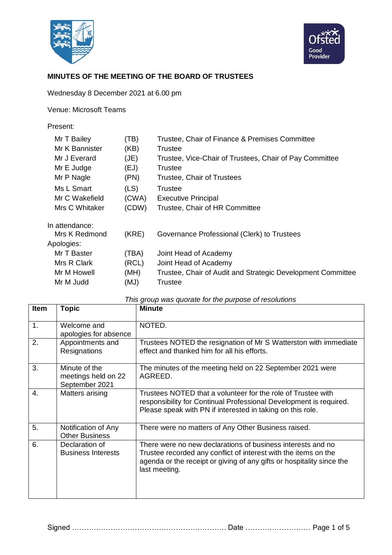



## **MINUTES OF THE MEETING OF THE BOARD OF TRUSTEES**

Wednesday 8 December 2021 at 6.00 pm

Venue: Microsoft Teams

### Present:

| Mr T Bailey    | (TB)  | Trustee, Chair of Finance & Premises Committee              |
|----------------|-------|-------------------------------------------------------------|
| Mr K Bannister | (KB)  | Trustee                                                     |
| Mr J Everard   | (JE)  | Trustee, Vice-Chair of Trustees, Chair of Pay Committee     |
| Mr E Judge     | (EJ)  | Trustee                                                     |
| Mr P Nagle     | (PN)  | <b>Trustee, Chair of Trustees</b>                           |
| Ms L Smart     | (LS)  | Trustee                                                     |
| Mr C Wakefield | (CWA) | <b>Executive Principal</b>                                  |
| Mrs C Whitaker | (CDW) | Trustee, Chair of HR Committee                              |
| In attendance: |       |                                                             |
| Mrs K Redmond  | (KRE) | Governance Professional (Clerk) to Trustees                 |
| Apologies:     |       |                                                             |
| Mr T Baster    | (TBA) | Joint Head of Academy                                       |
| Mrs R Clark    | (RCL) | Joint Head of Academy                                       |
| Mr M Howell    | (MH)  | Trustee, Chair of Audit and Strategic Development Committee |
| Mr M Judd      | (MJ)  | Trustee                                                     |
|                |       |                                                             |

| Item | <b>Topic</b>                                           | <b>Minute</b>                                                                                                                                                                                                            |
|------|--------------------------------------------------------|--------------------------------------------------------------------------------------------------------------------------------------------------------------------------------------------------------------------------|
| 1.   | Welcome and<br>apologies for absence                   | NOTED.                                                                                                                                                                                                                   |
| 2.   | Appointments and<br>Resignations                       | Trustees NOTED the resignation of Mr S Watterston with immediate<br>effect and thanked him for all his efforts.                                                                                                          |
| 3.   | Minute of the<br>meetings held on 22<br>September 2021 | The minutes of the meeting held on 22 September 2021 were<br>AGREED.                                                                                                                                                     |
| 4.   | Matters arising                                        | Trustees NOTED that a volunteer for the role of Trustee with<br>responsibility for Continual Professional Development is required.<br>Please speak with PN if interested in taking on this role.                         |
| 5.   | Notification of Any<br><b>Other Business</b>           | There were no matters of Any Other Business raised.                                                                                                                                                                      |
| 6.   | Declaration of<br><b>Business Interests</b>            | There were no new declarations of business interests and no<br>Trustee recorded any conflict of interest with the items on the<br>agenda or the receipt or giving of any gifts or hospitality since the<br>last meeting. |

#### *This group was quorate for the purpose of resolutions*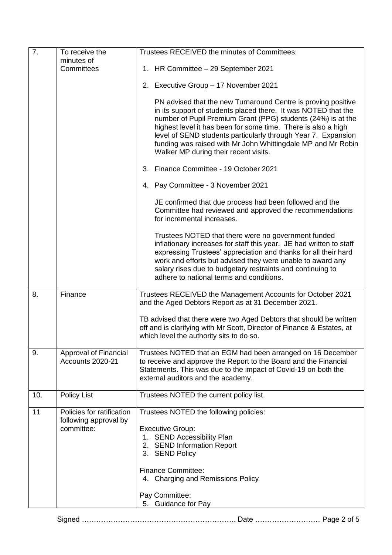| 7.  | To receive the                                                   | Trustees RECEIVED the minutes of Committees:                                                                                                                                                                                                                                                                                                                                                                                               |  |
|-----|------------------------------------------------------------------|--------------------------------------------------------------------------------------------------------------------------------------------------------------------------------------------------------------------------------------------------------------------------------------------------------------------------------------------------------------------------------------------------------------------------------------------|--|
|     | minutes of<br>Committees                                         | 1. HR Committee - 29 September 2021                                                                                                                                                                                                                                                                                                                                                                                                        |  |
|     |                                                                  |                                                                                                                                                                                                                                                                                                                                                                                                                                            |  |
|     |                                                                  | 2. Executive Group - 17 November 2021                                                                                                                                                                                                                                                                                                                                                                                                      |  |
|     |                                                                  | PN advised that the new Turnaround Centre is proving positive<br>in its support of students placed there. It was NOTED that the<br>number of Pupil Premium Grant (PPG) students (24%) is at the<br>highest level it has been for some time. There is also a high<br>level of SEND students particularly through Year 7. Expansion<br>funding was raised with Mr John Whittingdale MP and Mr Robin<br>Walker MP during their recent visits. |  |
|     |                                                                  | 3. Finance Committee - 19 October 2021                                                                                                                                                                                                                                                                                                                                                                                                     |  |
|     |                                                                  | 4. Pay Committee - 3 November 2021                                                                                                                                                                                                                                                                                                                                                                                                         |  |
|     |                                                                  | JE confirmed that due process had been followed and the<br>Committee had reviewed and approved the recommendations<br>for incremental increases.                                                                                                                                                                                                                                                                                           |  |
|     |                                                                  | Trustees NOTED that there were no government funded<br>inflationary increases for staff this year. JE had written to staff<br>expressing Trustees' appreciation and thanks for all their hard<br>work and efforts but advised they were unable to award any<br>salary rises due to budgetary restraints and continuing to<br>adhere to national terms and conditions.                                                                      |  |
| 8.  | Finance                                                          | Trustees RECEIVED the Management Accounts for October 2021<br>and the Aged Debtors Report as at 31 December 2021.                                                                                                                                                                                                                                                                                                                          |  |
|     |                                                                  | TB advised that there were two Aged Debtors that should be written<br>off and is clarifying with Mr Scott, Director of Finance & Estates, at<br>which level the authority sits to do so.                                                                                                                                                                                                                                                   |  |
| 9.  | <b>Approval of Financial</b><br>Accounts 2020-21                 | Trustees NOTED that an EGM had been arranged on 16 December<br>to receive and approve the Report to the Board and the Financial<br>Statements. This was due to the impact of Covid-19 on both the<br>external auditors and the academy.                                                                                                                                                                                                    |  |
| 10. | <b>Policy List</b>                                               | Trustees NOTED the current policy list.                                                                                                                                                                                                                                                                                                                                                                                                    |  |
| 11  | Policies for ratification<br>following approval by<br>committee: | Trustees NOTED the following policies:<br><b>Executive Group:</b><br>1. SEND Accessibility Plan<br>2. SEND Information Report<br>3. SEND Policy<br><b>Finance Committee:</b><br>4. Charging and Remissions Policy<br>Pay Committee:                                                                                                                                                                                                        |  |
|     |                                                                  | 5. Guidance for Pay                                                                                                                                                                                                                                                                                                                                                                                                                        |  |

# Signed ………………………………………………………. Date ……………………… Page 2 of 5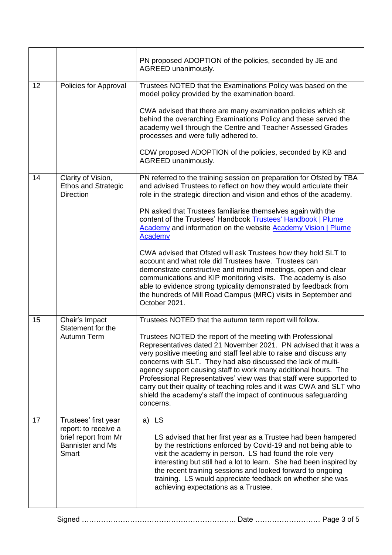|    |                                                                                                          | PN proposed ADOPTION of the policies, seconded by JE and<br>AGREED unanimously.                                                                                                                                                                                                                                                                                                                                                                                                                                                                                                                                                                                                                                                                                                                                                                                         |  |
|----|----------------------------------------------------------------------------------------------------------|-------------------------------------------------------------------------------------------------------------------------------------------------------------------------------------------------------------------------------------------------------------------------------------------------------------------------------------------------------------------------------------------------------------------------------------------------------------------------------------------------------------------------------------------------------------------------------------------------------------------------------------------------------------------------------------------------------------------------------------------------------------------------------------------------------------------------------------------------------------------------|--|
| 12 | Policies for Approval                                                                                    | Trustees NOTED that the Examinations Policy was based on the<br>model policy provided by the examination board.<br>CWA advised that there are many examination policies which sit<br>behind the overarching Examinations Policy and these served the<br>academy well through the Centre and Teacher Assessed Grades<br>processes and were fully adhered to.<br>CDW proposed ADOPTION of the policies, seconded by KB and<br>AGREED unanimously.                                                                                                                                                                                                                                                                                                                                                                                                                         |  |
| 14 | Clarity of Vision,<br><b>Ethos and Strategic</b><br><b>Direction</b>                                     | PN referred to the training session on preparation for Ofsted by TBA<br>and advised Trustees to reflect on how they would articulate their<br>role in the strategic direction and vision and ethos of the academy.<br>PN asked that Trustees familiarise themselves again with the<br>content of the Trustees' Handbook Trustees' Handbook   Plume<br><b>Academy</b> and information on the website <b>Academy Vision   Plume</b><br><b>Academy</b><br>CWA advised that Ofsted will ask Trustees how they hold SLT to<br>account and what role did Trustees have. Trustees can<br>demonstrate constructive and minuted meetings, open and clear<br>communications and KIP monitoring visits. The academy is also<br>able to evidence strong typicality demonstrated by feedback from<br>the hundreds of Mill Road Campus (MRC) visits in September and<br>October 2021. |  |
| 15 | Chair's Impact<br>Statement for the<br>Autumn Term                                                       | Trustees NOTED that the autumn term report will follow.<br>Trustees NOTED the report of the meeting with Professional<br>Representatives dated 21 November 2021. PN advised that it was a<br>very positive meeting and staff feel able to raise and discuss any<br>concerns with SLT. They had also discussed the lack of multi-<br>agency support causing staff to work many additional hours. The<br>Professional Representatives' view was that staff were supported to<br>carry out their quality of teaching roles and it was CWA and SLT who<br>shield the academy's staff the impact of continuous safeguarding<br>concerns.                                                                                                                                                                                                                                     |  |
| 17 | Trustees' first year<br>report: to receive a<br>brief report from Mr<br><b>Bannister and Ms</b><br>Smart | a) LS<br>LS advised that her first year as a Trustee had been hampered<br>by the restrictions enforced by Covid-19 and not being able to<br>visit the academy in person. LS had found the role very<br>interesting but still had a lot to learn. She had been inspired by<br>the recent training sessions and looked forward to ongoing<br>training. LS would appreciate feedback on whether she was<br>achieving expectations as a Trustee.                                                                                                                                                                                                                                                                                                                                                                                                                            |  |

Signed ………………………………………………………. Date ……………………… Page 3 of 5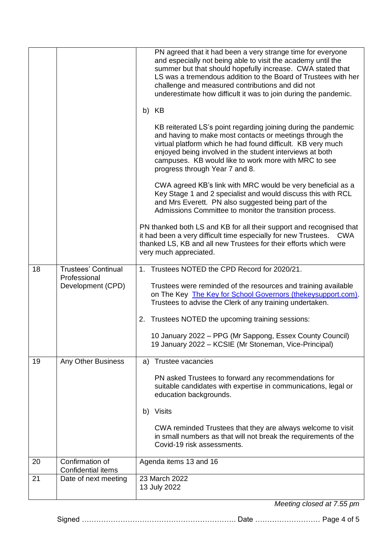|    |                                                                 | PN agreed that it had been a very strange time for everyone<br>and especially not being able to visit the academy until the<br>summer but that should hopefully increase. CWA stated that<br>LS was a tremendous addition to the Board of Trustees with her<br>challenge and measured contributions and did not<br>underestimate how difficult it was to join during the pandemic.<br>b) KB<br>KB reiterated LS's point regarding joining during the pandemic<br>and having to make most contacts or meetings through the<br>virtual platform which he had found difficult. KB very much<br>enjoyed being involved in the student interviews at both<br>campuses. KB would like to work more with MRC to see<br>progress through Year 7 and 8.<br>CWA agreed KB's link with MRC would be very beneficial as a<br>Key Stage 1 and 2 specialist and would discuss this with RCL<br>and Mrs Everett. PN also suggested being part of the<br>Admissions Committee to monitor the transition process.<br>PN thanked both LS and KB for all their support and recognised that<br>it had been a very difficult time especially for new Trustees.<br><b>CWA</b><br>thanked LS, KB and all new Trustees for their efforts which were<br>very much appreciated. |  |
|----|-----------------------------------------------------------------|-------------------------------------------------------------------------------------------------------------------------------------------------------------------------------------------------------------------------------------------------------------------------------------------------------------------------------------------------------------------------------------------------------------------------------------------------------------------------------------------------------------------------------------------------------------------------------------------------------------------------------------------------------------------------------------------------------------------------------------------------------------------------------------------------------------------------------------------------------------------------------------------------------------------------------------------------------------------------------------------------------------------------------------------------------------------------------------------------------------------------------------------------------------------------------------------------------------------------------------------------------|--|
| 18 | <b>Trustees' Continual</b><br>Professional<br>Development (CPD) | Trustees NOTED the CPD Record for 2020/21.<br>1 <sub>1</sub><br>Trustees were reminded of the resources and training available<br>on The Key The Key for School Governors (thekeysupport.com).<br>Trustees to advise the Clerk of any training undertaken.<br>2. Trustees NOTED the upcoming training sessions:                                                                                                                                                                                                                                                                                                                                                                                                                                                                                                                                                                                                                                                                                                                                                                                                                                                                                                                                       |  |
|    |                                                                 | 10 January 2022 - PPG (Mr Sappong, Essex County Council)<br>19 January 2022 – KCSIE (Mr Stoneman, Vice-Principal)                                                                                                                                                                                                                                                                                                                                                                                                                                                                                                                                                                                                                                                                                                                                                                                                                                                                                                                                                                                                                                                                                                                                     |  |
| 19 | Any Other Business                                              | Trustee vacancies<br>a)<br>PN asked Trustees to forward any recommendations for<br>suitable candidates with expertise in communications, legal or<br>education backgrounds.<br><b>Visits</b><br>b)<br>CWA reminded Trustees that they are always welcome to visit<br>in small numbers as that will not break the requirements of the<br>Covid-19 risk assessments.                                                                                                                                                                                                                                                                                                                                                                                                                                                                                                                                                                                                                                                                                                                                                                                                                                                                                    |  |
| 20 | Confirmation of<br><b>Confidential items</b>                    | Agenda items 13 and 16                                                                                                                                                                                                                                                                                                                                                                                                                                                                                                                                                                                                                                                                                                                                                                                                                                                                                                                                                                                                                                                                                                                                                                                                                                |  |
| 21 | Date of next meeting                                            | 23 March 2022<br>13 July 2022                                                                                                                                                                                                                                                                                                                                                                                                                                                                                                                                                                                                                                                                                                                                                                                                                                                                                                                                                                                                                                                                                                                                                                                                                         |  |

*Meeting closed at 7.55 pm*

Signed ………………………………………………………. Date ……………………… Page 4 of 5